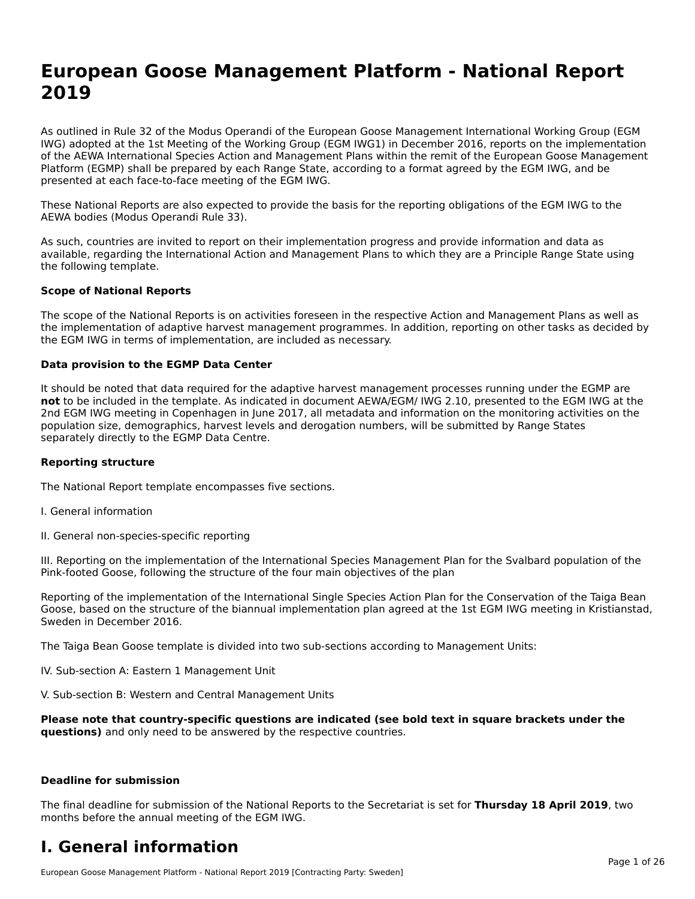## **European Goose Management Platform - National Report**European Goose Management Platform - National **Neport**<br>2010

As outlined in Rule 32 of the Modus Operandi of the European Goose Management International Working Group (EGM As buthled in Rule 32 of the Modus Operandi of the Lufopean Goose Management International Working Group (LGM<br>IWG) adopted at the 1st Meeting of the Working Group (EGM IWG1) in December 2016, reports on the implementation of the AEWA International Species Action and Management Plans within the remit of the European Goose Management Platform (EGMP) shall be prepared by each Range State, according to a format agreed by the EGM IWG, and be presented at each face-to-face meeting of the EGM IWG.

These National Reports are also expected to provide the basis for the reporting obligations of the EGM IWG to the AEWA bodies (Modus Operandi Rule 33).

As such, countries are invited to report on their implementation progress and provide information and data as<br>available, regarding the International Action and Management Plans to which they are a Principle Range State usi available, regarding the International Action and Management Plans to which they are a Principle Range State using the following template.

#### **Scope of National Reports**

The scope of the National Reports is on activities foreseen in the respective Action and Management Plans as well as The scope of the National Reports is on activities foreseen in the respective Action and Management Plans as well as<br>the implementation of adaptive harvest management programmes. In addition, reporting on other tasks as de the EGM IWG in terms of implementation, are included as necessary.

#### **Data provision to the EGMP Data Center**

It should be noted that data required for the adaptive harvest management processes running under the EGMP are **not** to be included in the template. As indicated in document AEWA/EGM/ IWG 2.10, presented to the EGM IWG at the 2nd EGM IWG meeting in Copenhagen in June 2017, all metadata and information on the monitoring activities on the population size, demographics, harvest levels and derogation numbers, will be submitted by Range States separately directly to the EGMP Data Centre.

#### **Reporting structure**

The National Report template encompasses five sections.

- I. General information
- II. General non-species-specific reporting

III. Reporting on the implementation of the International Species Management Plan for the Svalbard population of the

Reporting of the implementation of the International Single Species Action Plan for the Conservation of the Taiga Bean Reporting of the implementation of the international single species Action Fram for the conservation of the laiga beam<br>Goose, based on the structure of the biannual implementation plan agreed at the 1st EGM IWG meeting in

The Taiga Bean Goose template is divided into two sub-sections according to Management Units:

IV. Sub-section A: Eastern 1 Management Unit

V. Sub-section B: Western and Central Management Units

Please note that country-specific questions are indicated (see bold text in square brackets under the **questions)** and only need to be answered by the respective countries.

#### **Deadline for submission**

The final deadline for submission of the National Reports to the Secretariat is set for **Thursday 18 April 2019**, two months before the annual meeting of the EGM IWG.

#### **I. General information**

European Goose Management Platform - National Report 2019 [Contracting Party: Sweden]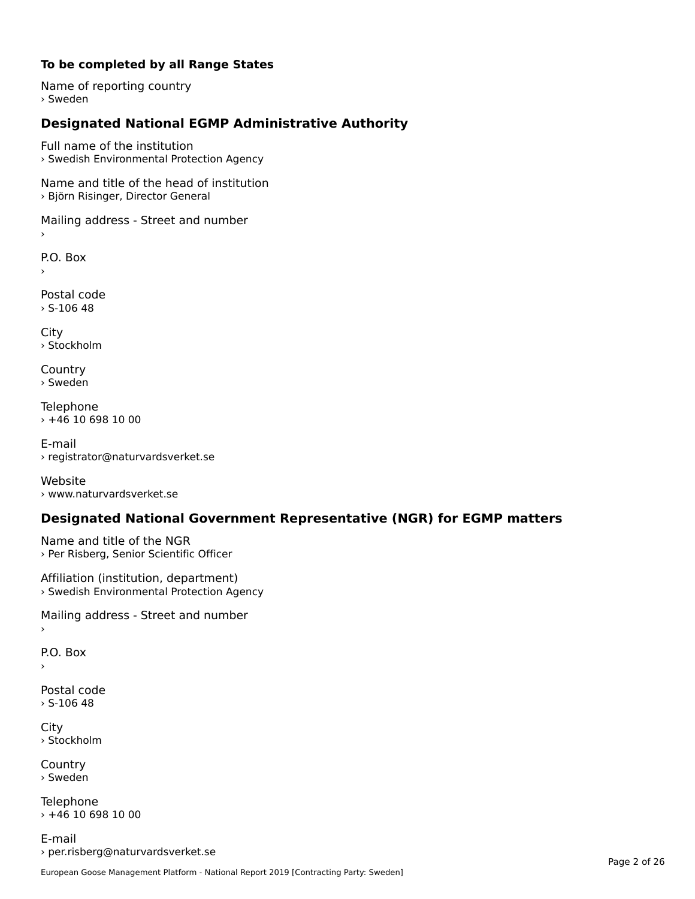#### **To be completed by all Range States**

Name of reporting country › Sweden

### **Designated National EGMP Administrative Authority**

Full name of the institution› Swedish Environmental Protection Agency

Name and title of the head of institution › Björn Risinger, Director General

Mailing address - Street and number

P.O. Box

Postal code $>$  S-106 48

City › Stockholm

**Country** › Sweden

Telephone › +46 10 698 10 00

E-mail› registrator@naturvardsverket.se

Website › www.naturvardsverket.se

### **Designated National Government Representative (NGR) for EGMP matters**

Name and title of the NGR › Per Risberg, Senior Scientific Officer

Affiliation (institution, department) › Swedish Environmental Protection Agency

Mailing address - Street and number

P.O. Box

Postal code› S-106 48

City › Stockholm

**Country** › Sweden

Telephone › +46 10 698 10 00

E-mail› per.risberg@naturvardsverket.se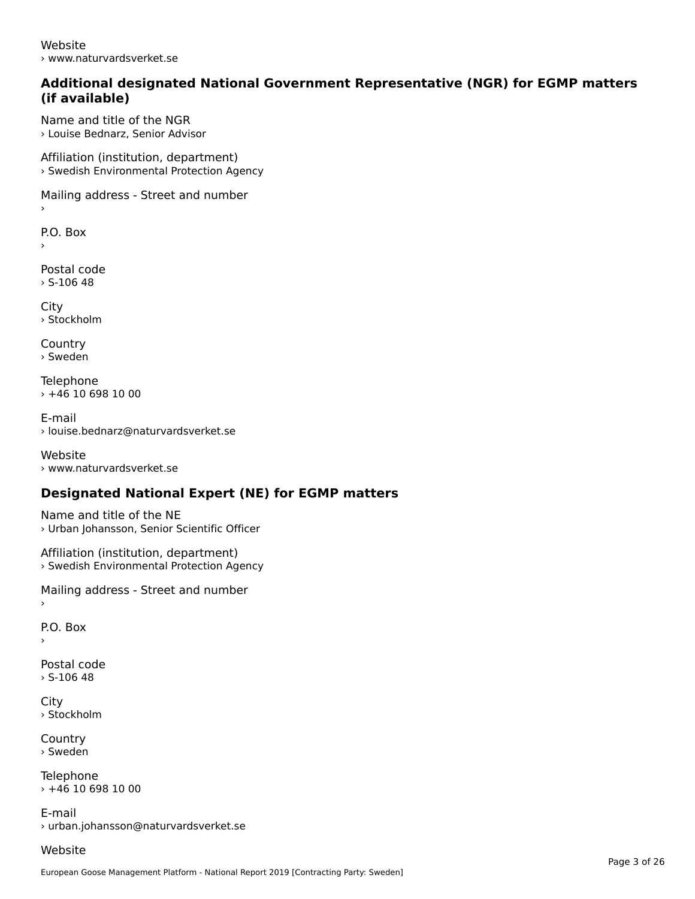Website› www.naturvardsverket.se

#### **Additional designated National Government Representative (NGR) for EGMP matters (if available)**

Name and title of the NGR› Louise Bednarz, Senior Advisor

Affiliation (institution, department) › Swedish Environmental Protection Agency

Mailing address - Street and number

 $\overline{P}$ ›

Postal code› S-106 48

**City** › Stockholm

**Country** › Sweden

Telephone  $\times$  +46 10 698 10 00

E-mail› louise.bednarz@naturvardsverket.se

Website › www.naturvardsverket.se

### **Designated National Expert (NE) for EGMP matters**

Name and title of the NE› Urban Johansson, Senior Scientific Officer

Affiliation (institution, department) › Swedish Environmental Protection Agency

Mailing address - Street and number

P.O. Box

›

Postal code $>$  S-106 48

City› Stockholm

**Country** › Sweden

**Telephone**  $+46$  10 698 10 00

E-mail› urban.johansson@naturvardsverket.se

Website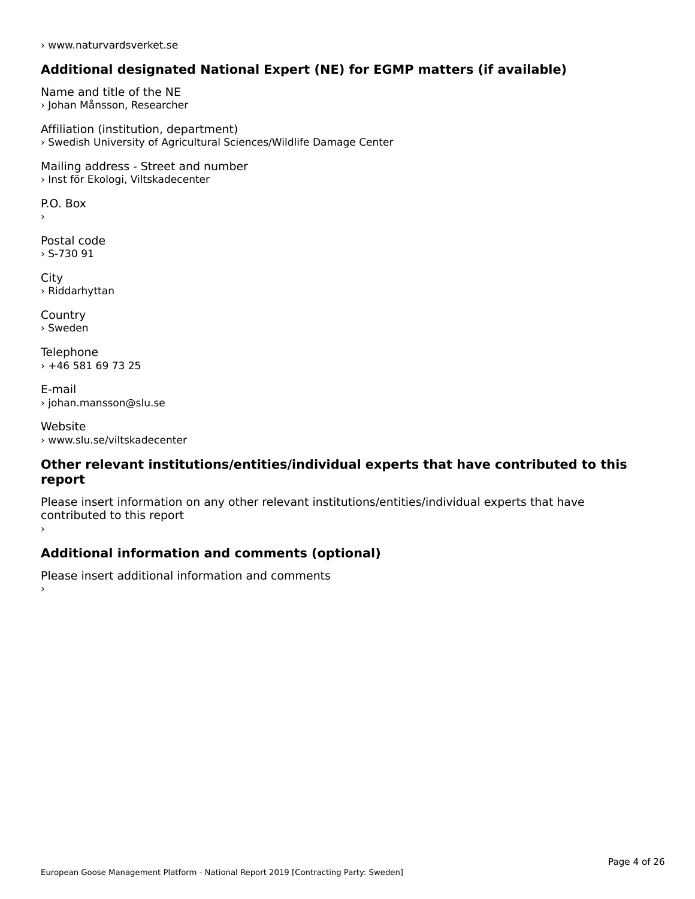› www.naturvardsverket.se

### **Additional designated National Expert (NE) for EGMP matters (if available)**

Name and title of the NE › Johan Månsson, Researcher

Affiliation (institution, department) › Swedish University of Agricultural Sciences/Wildlife Damage Center

Mailing address - Street and number › Inst för Ekologi, Viltskadecenter

 $\overline{P}$ ›

Postal code › S-730 91

City › Riddarhyttan

**Country** › Sweden

Telephone › +46 581 69 73 25

E-mail› johan.mansson@slu.se

Website› www.slu.se/viltskadecenter

#### **Other relevant institutions/entities/individual experts that have contributed to this report**report

Please insert information on any other relevant institutions/entities/individual experts that have continuated to this report

#### **Additional information and comments (optional)**

Please insert additional information and comments ›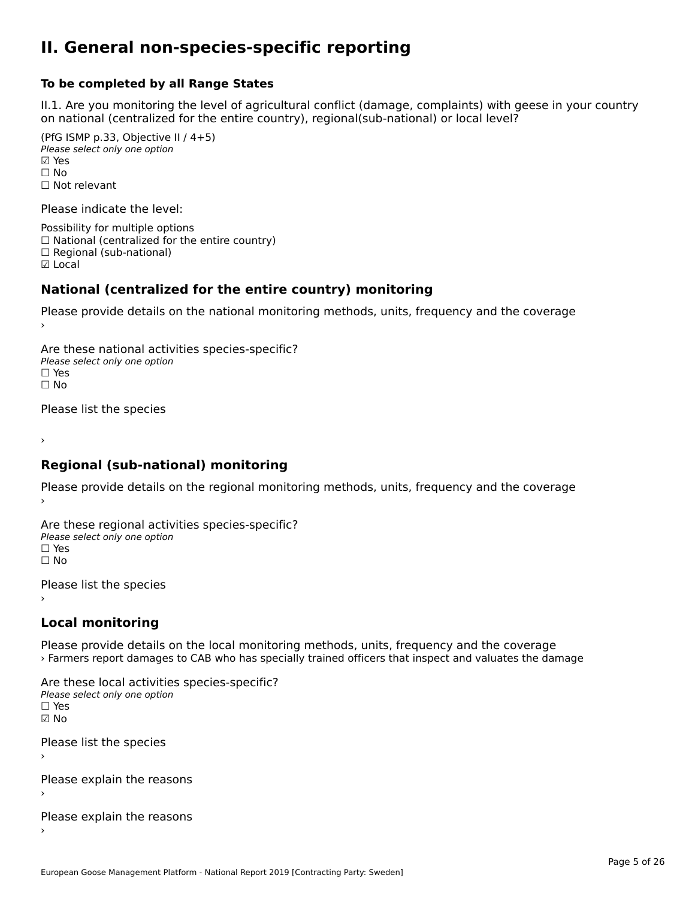#### **II. General non-species-specific reporting**

#### **To be completed by all Range States**

II.1. Are you monitoring the level of agricultural conflict (damage, complaints) with geese in your country n.i. Are you monitoring the lever or agricultural connict (damage, complaints) with g<br>on national (centralized for the entire country), regional(sub-national) or local level?

(PfG ISMP p.33, Objective II  $(4+5)$ ) Please select only one option ☑ Yes**☑ Yes**<br>□ No □ No<br>□ Not relevant

Please indicate the level:

Possibility for multiple options  $\Box$  National (centralized for the entire country)  $\Box$  Regional (sub-national) ☑ Local

#### **National (centralized for the entire country) monitoring**

Please provide details on the national monitoring methods, units, frequency and the coverage

Are these national activities species-specific? Please select only one optionPlease select only one option.<br>□ Yes ☐ No $\Box$  No

Please list the species

›

#### **Regional (sub-national) monitoring**

Please provide details on the regional monitoring methods, units, frequency and the coverage

Are these regional activities species-specific? ∩ne these regional activ<br>Please select only one option □ Yes<br>□ No

Please list the species ›

#### **Local monitoring**

Please provide details on the local monitoring methods, units, frequency and the coverage › Farmers report damages to CAB who has specially trained officers that inspect and valuates the damage

Are these local activities species-specific? Please select only one optionriease<br>□ Yes ☑ NoPlease list the species

›

Please explain the reasons

Please explain the reasons ›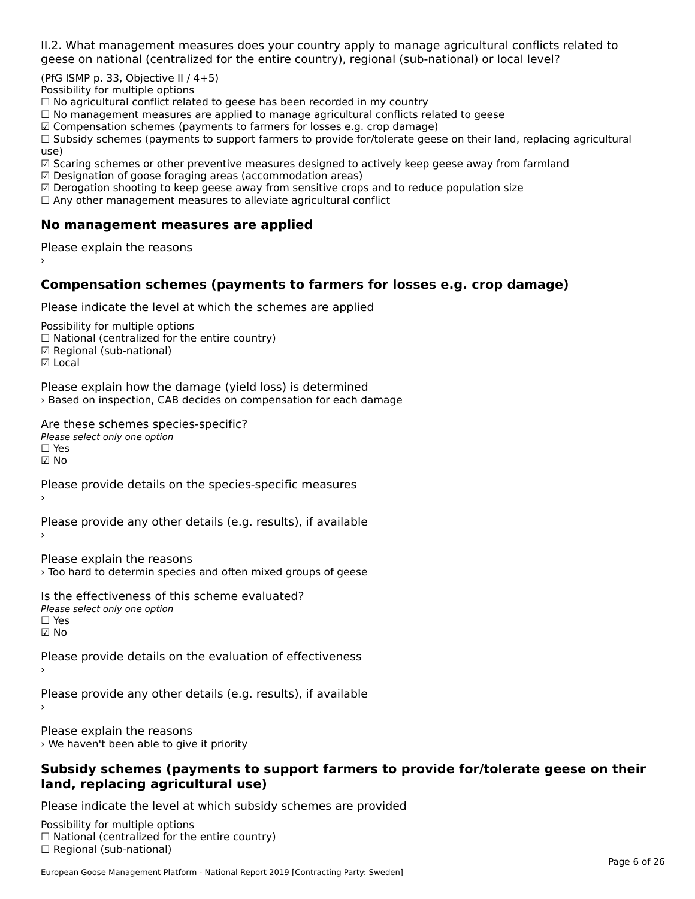II.2. What management measures does your country apply to manage agricultural conflicts related to

(PfG ISMP p. 33, Objective II  $/$  4+5)

Possibility for multiple options

™assibility for maltiple options<br>□ No agricultural conflict related to geese has been recorded in my country

 $\Box$  No management measures are applied to manage agricultural conflicts related to geese

☑ Compensation schemes (payments to farmers for losses e.g. crop damage)

a compensation schemes (payments to familers for losses e.g. crop damage)<br>[1] Subsidy schemes (payments to support farmers to provide for/tolerate geese on their land, replacing agricultural use)

use)<br>☑ Scaring schemes or other preventive measures designed to actively keep geese away from farmland

 $\boxtimes$  Designation of goose foraging areas (accommodation areas)

□ Designation of goose foraging areas (accommodation areas)<br>□ Derogation shooting to keep geese away from sensitive crops and to reduce population size

 $\Box$  Any other management measures to alleviate agricultural conflict

#### **No management measures are applied**

Please explain the reasons ›

#### **Compensation schemes (payments to farmers for losses e.g. crop damage)**

Please indicate the level at which the schemes are applied

Possibility for multiple options rossibility for multiple options<br>□ National (centralized for the entire country) □ National (centralized io<br>☑ Regional (sub-national) ⊡ ∩egio<br>☑ Local

Please explain how the damage (yield loss) is determined riedse explain now the damage (yield loss) is determined<br>> Based on inspection, CAB decides on compensation for each damage

Are these schemes species-specific? ∩ne these senemes spee<br>Please select only one option

☑ No

Please provide details on the species-specific measures

Please provide any other details (e.g. results), if available

Please explain the reasons

› Too hard to determin species and often mixed groups of geese

Is the effectiveness of this scheme evaluated?Please select only one option☐ Yes☑ No

Please provide details on the evaluation of effectiveness

Please provide any other details (e.g. results), if available

Please explain the reasons › We haven't been able to give it priority

#### **Subsidy schemes (payments to support farmers to provide for/tolerate geese on their land, replacing agricultural use)**land, replacing agricultural use)

Please indicate the level at which subsidy schemes are provided

Possibility for multiple options rossibility for multiple options<br>□ National (centralized for the entire country) □ Regional (centranzed to<br>□ Regional (sub-national)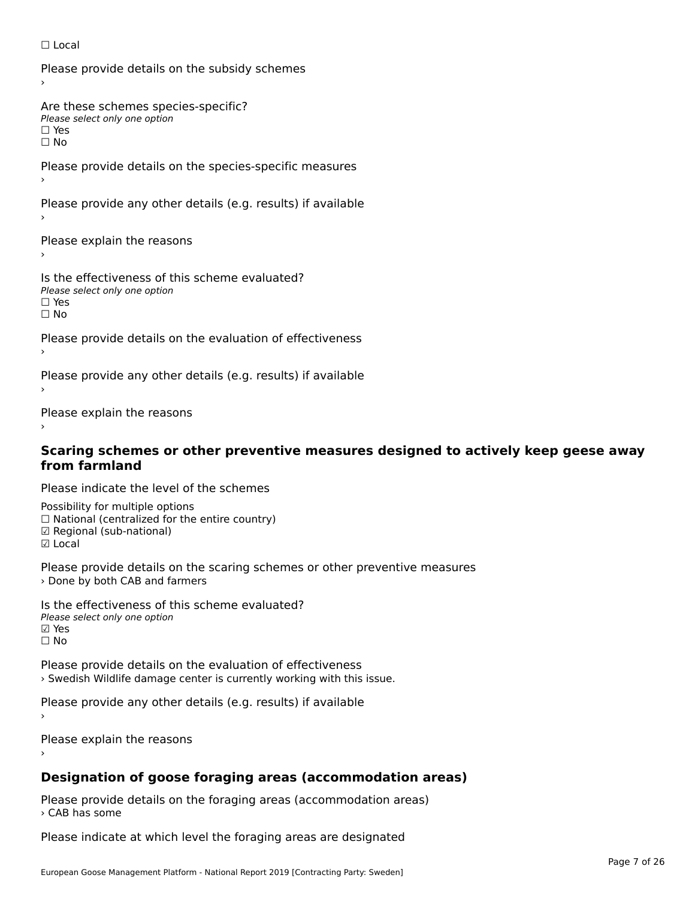#### ☐ Local

Please provide details on the subsidy schemes

Are these schemes species-specific?∩ne these senemes spee<br>Please select only one option

□ Yes<br>□ No

Please provide details on the species-specific measures

Please provide any other details (e.g. results) if available

Please explain the reasons

Is the effectiveness of this scheme evaluated? □ CITC CITCCLIVERESS OF C<br>Please select only one option ים וכ∍<br>⊡ No

Please provide details on the evaluation of effectiveness

Please provide any other details (e.g. results) if available

Please explain the reasons

# **Scaring schemes or other preventive measures designed to actively keep geese away from farmland**

Please indicate the level of the schemes

Possibility for multiple options ™assibility for multiple options<br>□ National (centralized for the entire country) □ National (centralized io<br>☑ Regional (sub-national) ☑ Local

Please provide details on the scaring schemes or other preventive measures › Done by both CAB and farmers

Is the effectiveness of this scheme evaluated?Please select only one option☑ Yes☐ No

Please provide details on the evaluation of effectiveness› Swedish Wildlife damage center is currently working with this issue.

Please provide any other details (e.g. results) if available

Please explain the reasons

#### **Designation of goose foraging areas (accommodation areas)**

Please provide details on the foraging areas (accommodation areas) › CAB has some

Please indicate at which level the foraging areas are designated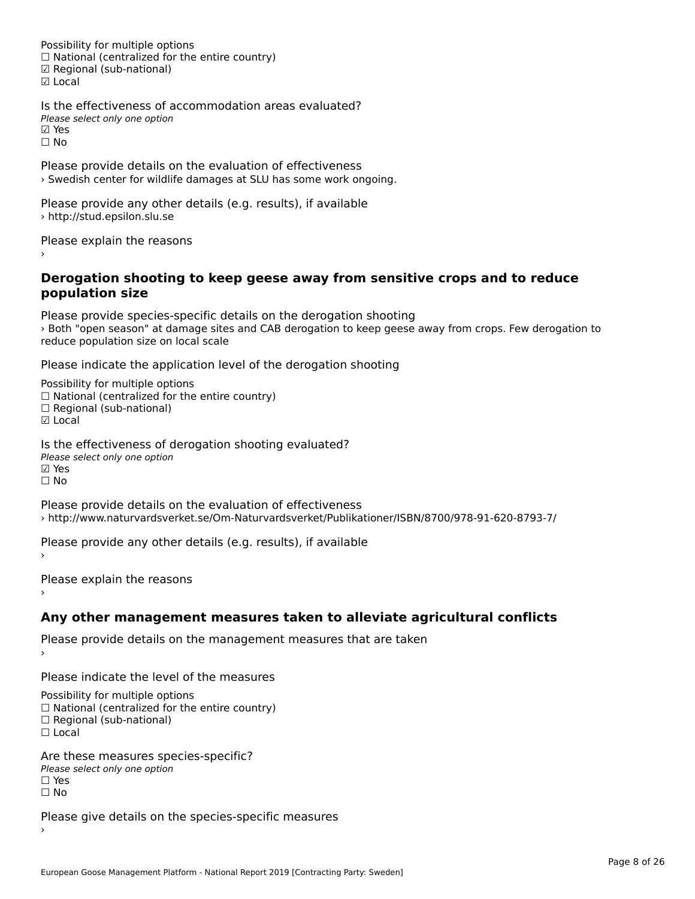Possibility for multiple options rossibility for multiple options<br>□ National (centralized for the entire country) □ National (centralized io<br>☑ Regional (sub-national) ☑ Local

Is the effectiveness of accommodation areas evaluated?Please select only one option riease<br>☑ Yes ☐ No

Please provide details on the evaluation of effectiveness › Swedish center for wildlife damages at SLU has some work ongoing.

Please provide any other details (e.g. results), if available › http://stud.epsilon.slu.se

Please explain the reasons

#### **Derogation shooting to keep geese away from sensitive crops and to reduce population size**population size

Please provide species-specific details on the derogation shooting riedse provide species-specific details on the derogation shooting<br>> Both "open season" at damage sites and CAB derogation to keep geese away from crops. Few derogation to reduce population size on local scale

Please indicate the application level of the derogation shooting

Possibility for multiple options гозывниу тог нингріе орноть<br>□ National (centralized for the entire country)  $\Box$  Regional (sub-national)

☑ Local

Is the effectiveness of derogation shooting evaluated? Please select only one option ☑ Yes☐ No

Please provide details on the evaluation of effectiveness › http://www.naturvardsverket.se/Om-Naturvardsverket/Publikationer/ISBN/8700/978-91-620-8793-7/

Please provide any other details (e.g. results), if available

Please explain the reasons

#### **Any other management measures taken to alleviate agricultural conflicts**

Please provide details on the management measures that are taken ›

Please indicate the level of the measures

Possibility for multiple options

rossibility for multiple options<br>□ National (centralized for the entire country)

□ National (centralized io<br>□ Regional (sub-national)

☐ Local

Are these measures species-specific?ric criese measures spe<br>Please select only one option ☐ Yes☐ No

Please give details on the species-specific measures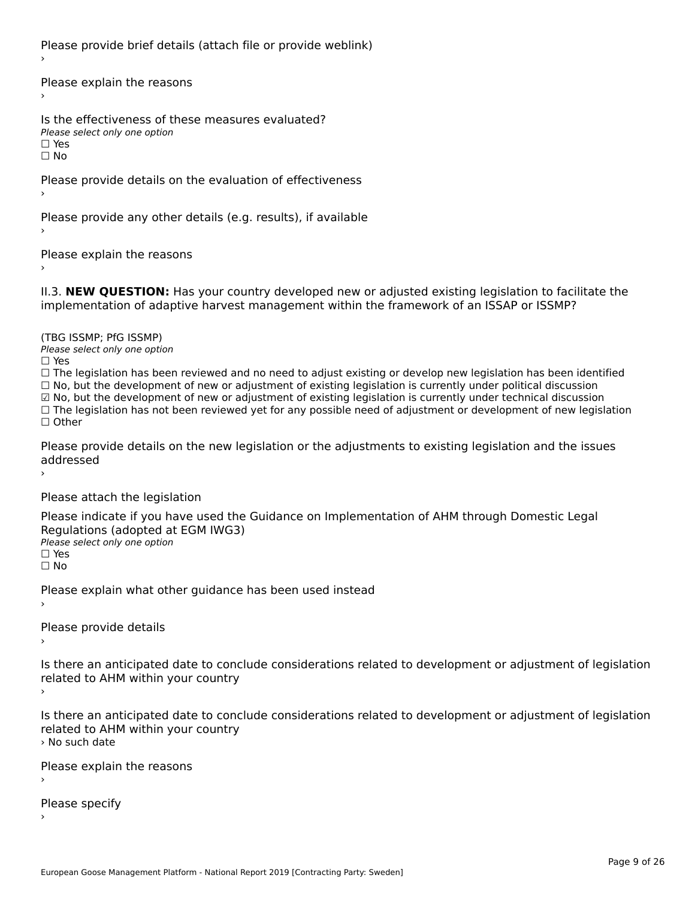Please provide brief details (attach file or provide weblink)

Please explain the reasons›

Is the effectiveness of these measures evaluated?Please select only one option ☐ Yesים וכ∍<br>⊡ No

Please provide details on the evaluation of effectiveness

Please provide any other details (e.g. results), if available

Please explain the reasons›

II.3. **NEW QUESTION:** Has your country developed new or adjusted existing legislation to facilitate the

(TBG ISSMP; PfG ISSMP)

Please select only one option ☐ Yes

☐ The legislation has been reviewed and no need to adjust existing or develop new legislation has been identified ☐ No, but the development of new or adjustment of existing legislation is currently under political discussion ☑ No, but the development of new or adjustment of existing legislation is currently under technical discussion $\boxtimes$  No, but the development of new or adjustment of existing legislation is currently under technical discussion ⊠ No, but the development of new or adjustment of existing regislation is currently under technical discussion<br>□ The legislation has not been reviewed yet for any possible need of adjustment or development of new legislat

Please provide details on the new legislation or the adjustments to existing legislation and the issues riease piu<br>seddressed ›

Please attach the legislation

Please indicate if you have used the Guidance on Implementation of AHM through Domestic Legal Piease indicate if you have used the<br>Regulations (adopted at EGM IWG3) Please select only one option ☐ Yes☐ No

Please explain what other guidance has been used instead

Please provide details

Is there an anticipated date to conclude considerations related to development or adjustment of legislation Proced to Arm within your country

Is there an anticipated date to conclude considerations related to development or adjustment of legislation is there an anticipated date to cont<br>related to AHM within your country › No such date

Please explain the reasons

Please specify›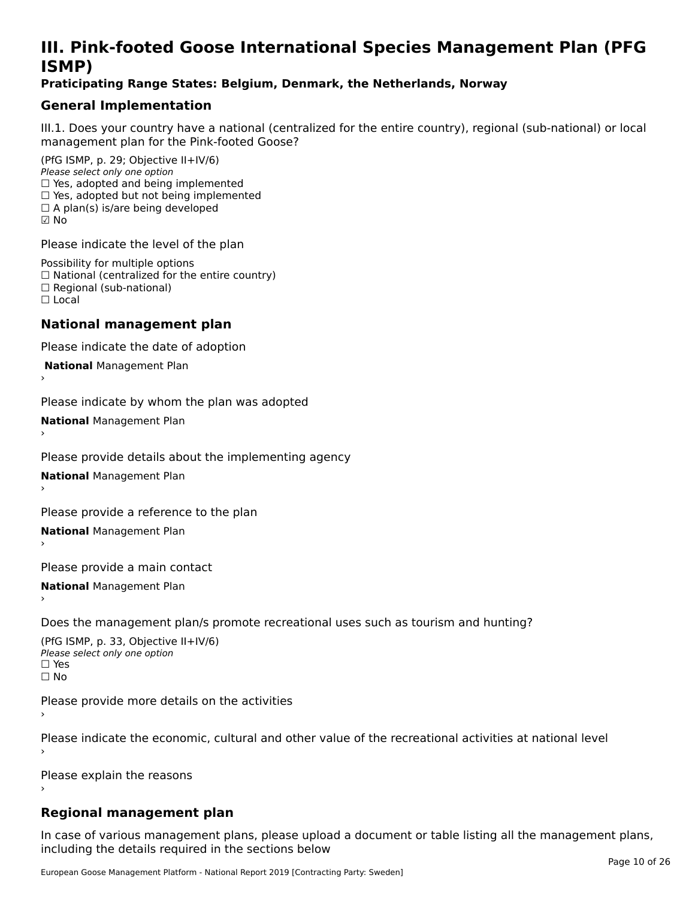### **III. Pink-footed Goose International Species Management Plan (PFG**III. FIIIN-IUULEU GUUSE IIILEI II**atiunai Species Management Fian (FTG**<br>ISMD)

#### **Praticipating Range States: Belgium, Denmark, the Netherlands, Norway**

### **General Implementation**

III.1. Does your country have a national (centralized for the entire country), regional (sub-national) or local

(PfG ISMP, p. 29; Objective II+IV/6) Please select only one option *riease select only one option*<br>□ Yes, adopted and being implemented  $\Box$  res, adopted and being implemented<br> $\Box$  Yes, adopted but not being implemented  $\Box$  A plan(s) is/are being developed ☑ No

Please indicate the level of the plan

Possibility for multiple options rossibility for multiple options<br>□ National (centralized for the entire country) □ National (centralized io<br>□ Regional (sub-national) ☐ Local

#### **National management plan**

Please indicate the date of adoption

 **National** Management Plan

›

Please indicate by whom the plan was adopted

**National** Management Plan ›

Please provide details about the implementing agency

**National** Management Plan ›

Please provide a reference to the plan

**National** Management Plan ›

Please provide a main contact

**National** Management Plan ›

Does the management plan/s promote recreational uses such as tourism and hunting?

(PfG ISMP, p. 33, Objective II+IV/6) Please select only one optionPlease select only one option  $\square$  Yes ☐ No

Please provide more details on the activities

Please indicate the economic, cultural and other value of the recreational activities at national level

Please explain the reasons

#### **Regional management plan**

In case of various management plans, please upload a document or table listing all the management plans, $\frac{1}{2}$  case of various management plans, please uploa including the details required in the sections below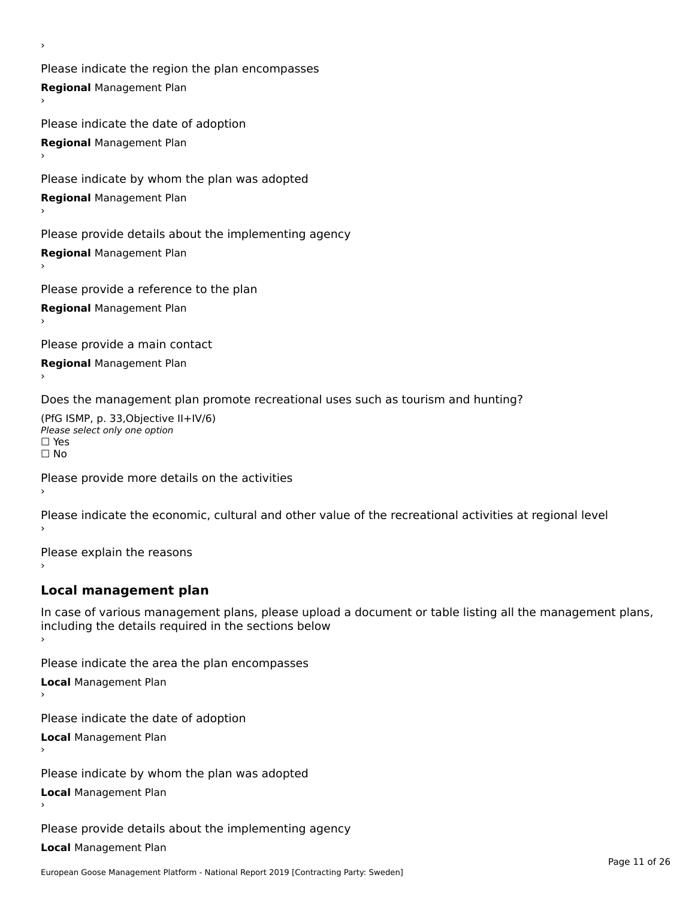Please indicate the region the plan encompasses **Regional** Management Plan

Please indicate the date of adoption **Regional** Management Plan ›

Please indicate by whom the plan was adopted

**Regional** Management Plan

›

Please provide details about the implementing agency

**Regional** Management Plan

Please provide a reference to the plan

**Regional** Management Plan

Please provide a main contact

**Regional** Management Plan

Does the management plan promote recreational uses such as tourism and hunting?

(PfG ISMP, p. 33,Objective II+IV/6) ∩∩ וויוכו פון<br>Please select only one option<br>□ Yes □ Yes<br>□ No

Please provide more details on the activities

Please indicate the economic, cultural and other value of the recreational activities at regional level

Please explain the reasons ›

#### **Local management plan**

In case of various management plans, please upload a document or table listing all the management plans, In case of various management plans, please uploa<br>including the details required in the sections below

Please indicate the area the plan encompasses

**Local** Management Plan

Please indicate the date of adoption

**Local** Management Plan›

Please indicate by whom the plan was adopted

**Local** Management Plan

Please provide details about the implementing agency

**Local** Management Plan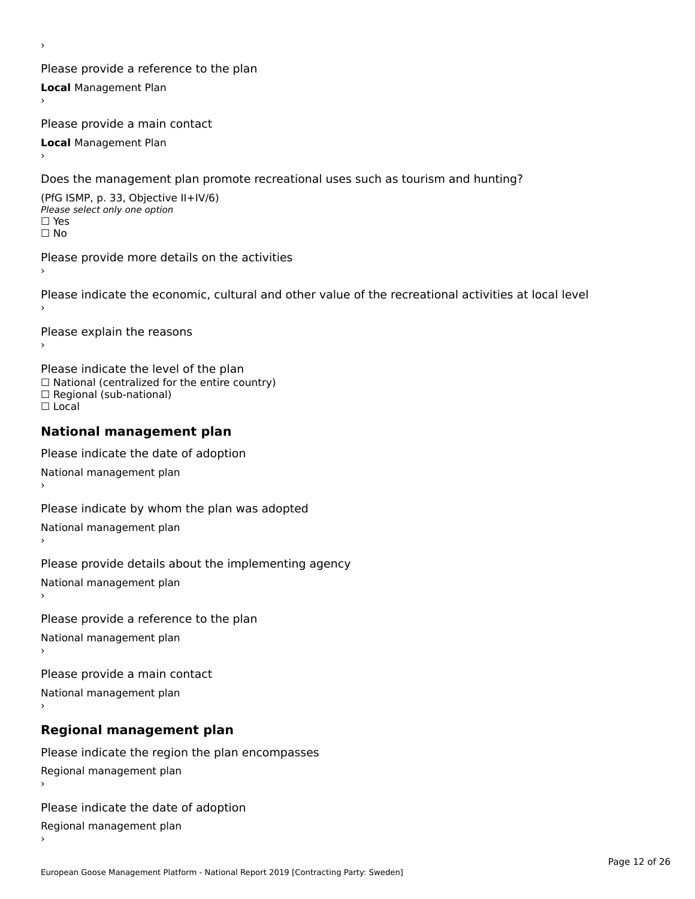Please provide a reference to the plan **Local** Management Plan

Please provide a main contact

**Local** Management Plan

›

Does the management plan promote recreational uses such as tourism and hunting?

(PfG ISMP, p. 33, Objective II+IV/6) Please select only one option☐ Yes☐ No

Please provide more details on the activities

Please indicate the economic, cultural and other value of the recreational activities at local level

Please explain the reasons ›

Please indicate the level of the plan ∩ease marcate the lever of the plan<br>□ National (centralized for the entire country) □ National (centralized io<br>□ Regional (sub-national) ☐ Local

#### **National management plan**

Please indicate the date of adoption National management plan

Please indicate by whom the plan was adopted National management plan ›

Please provide details about the implementing agency

National management plan

Please provide a reference to the plan

National management plan

Please provide a main contact

National management plan

### **Regional management plan**

Please indicate the region the plan encompasses Regional management plan

Please indicate the date of adoption

Regional management plan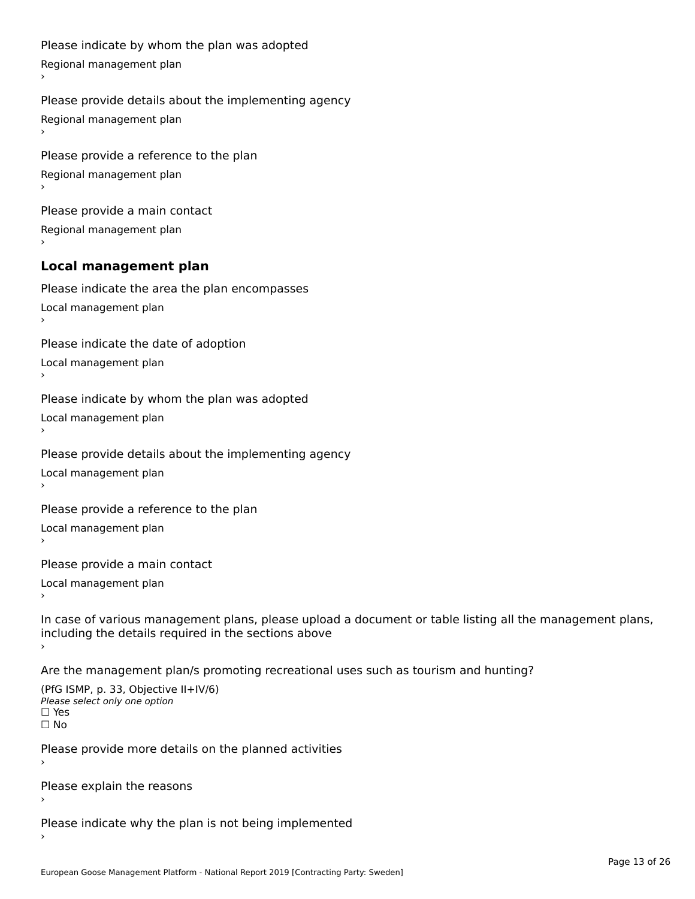```
Please indicate by whom the plan was adopted Regional management plan
Please provide details about the implementing agency Regional management plan
Please provide a reference to the plan Regional management plan
Please provide a main contact Regional management plan
Local management plan
Please indicate the area the plan encompasses Local management plan›Please indicate the date of adoption Local management plan١,
Please indicate by whom the plan was adopted Local management plan›Please provide details about the implementing agency Local management plan١,
Please provide a reference to the plan Local management plan›Please provide a main contact Local management plan١,
In case of various management plans, please upload a document or table listing all the management plans,in case or various management plans, please upload
including the details required in the sections above
Are the management plan/s promoting recreational uses such as tourism and hunting?
```

```
(PfG ISMP, p. 33, Objective II+IV/6)
Please select only one option☐ Yes☐ No
```
Please provide more details on the planned activities

Please explain the reasons›

Please indicate why the plan is not being implemented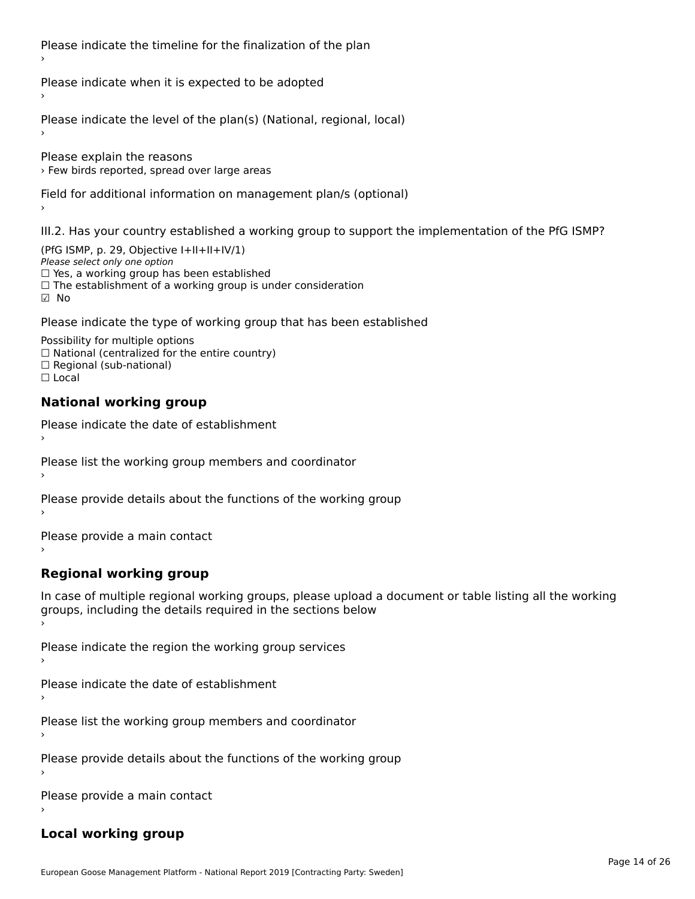Please indicate the timeline for the finalization of the plan

Please indicate when it is expected to be adopted

Please indicate the level of the plan(s) (National, regional, local)

Please explain the reasons › Few birds reported, spread over large areas

Field for additional information on management plan/s (optional)

III.2. Has your country established a working group to support the implementation of the PfG ISMP?

(PfG ISMP, p. 29, Objective I+II+II+IV/1)Please select only one option □ Yes, a working group has been established □ Tes, a working group has been established<br>□ The establishment of a working group is under consideration

Please indicate the type of working group that has been established

Possibility for multiple options  $\Box$  National (centralized for the entire country)  $\Box$  Regional (sub-national)  $\Box$  Local

#### **National working group**

›

Please indicate the date of establishment

Please list the working group members and coordinator ›

Please provide details about the functions of the working group ›

Please provide a main contact ›

**Regional working group**

In case of multiple regional working groups, please upload a document or table listing all the working In case of multiple regional working groups, please upload a<br>groups, including the details required in the sections below

Please indicate the region the working group services ›

Please indicate the date of establishment ›

Please list the working group members and coordinator ›

Please provide details about the functions of the working group ›

Please provide a main contact ›

#### **Local working group**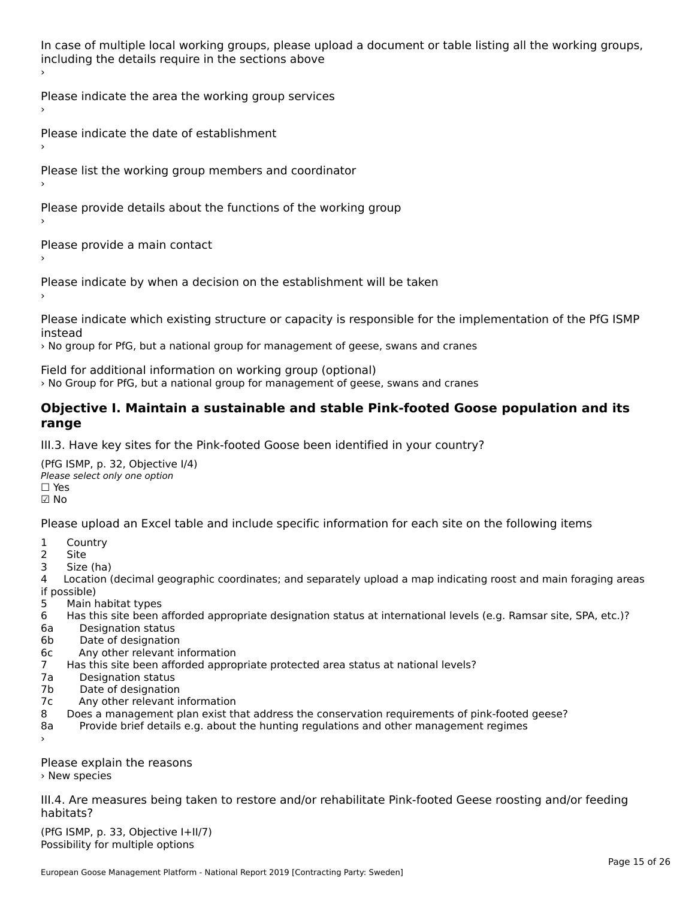In case of multiple local working groups, please upload a document or table listing all the working groups, in case of multiple local working groups, please up ›

Please indicate the area the working group services ›

Please indicate the date of establishment ›

Please list the working group members and coordinator ›

Please provide details about the functions of the working group ›

Please provide a main contact ›

Please indicate by when a decision on the establishment will be taken

Please indicate which existing structure or capacity is responsible for the implementation of the PfG ISMP

› No group for PfG, but a national group for management of geese, swans and cranes

Field for additional information on working group (optional)

› No Group for PfG, but a national group for management of geese, swans and cranes

#### **Objective I. Maintain a sustainable and stable Pink-footed Goose population and its range**range

III.3. Have key sites for the Pink-footed Goose been identified in your country?

(PfG ISMP, p. 32, Objective I/4)Please select only one option ☐ Yes☑ No

Please upload an Excel table and include specific information for each site on the following items

- $1 \quad \alpha$
- 2 Site
- 2 Site<br>3 Size (ha)

د حدد una<br>4 Location (decimal geographic coordinates; and separately upload a map indicating roost and main foraging areas 4 Location<br>if possible)

- 5 Main habitat types
- 6 Has this site been afforded appropriate designation status at international levels (e.g. Ramsar site, SPA, etc.)? 6. Bestweetter status
- 6a Designation status<br>6b Date of designation
- 
- 6c Any other relevant information
- 7 Has this site been afforded appropriate protected area status at national levels? 7a Designation status
- 7a Designation status<br>7b Date of designation
- 
- 7c Any other relevant information
- 8 Does a management plan exist that address the conservation requirements of pink-footed geese?
- 8a Provide brief details e.g. about the hunting regulations and other management regimes ›

Please explain the reasons › New species

III.4. Are measures being taken to restore and/or rehabilitate Pink-footed Geese roosting and/or feeding habitats?

 $(PCI GMP, p. 33, Qb)$  is the I+II/7) Possibility for multiple optionsPossibility for multiple options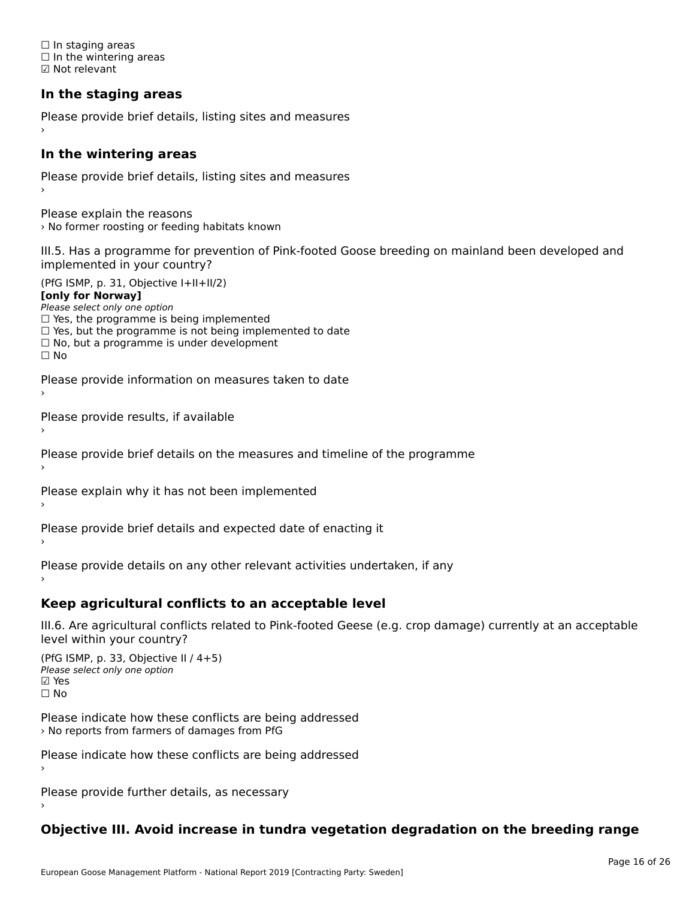☐ In staging areas □ in staging areas<br>□ In the wintering areas ☑ Not relevant

### **In the staging areas**

Please provide brief details, listing sites and measures ›

#### **In the wintering areas**

Please provide brief details, listing sites and measures ›

Please explain the reasons › No former roosting or feeding habitats known

III.5. Has a programme for prevention of Pink-footed Goose breeding on mainland been developed and implemented in your country?

(PfG ISMP, p. 31, Objective I+II+II/2)

**[only for Norway]**

Please select only one option riease select only one option<br>□ Yes, the programme is being implemented

 $\Box$  ies, the programme is being implemented to date  $\Box$  Yes, but the programme is not being implemented to date

 $\Box$  No, but a programme is under development

Please provide information on measures taken to date

Please provide results, if available

Please provide brief details on the measures and timeline of the programme

Please explain why it has not been implemented

Please provide brief details and expected date of enacting it

Please provide details on any other relevant activities undertaken, if any›

**Keep agricultural conflicts to an acceptable level**

III.6. Are agricultural conflicts related to Pink-footed Geese (e.g. crop damage) currently at an acceptable

(PfG ISMP, p. 33, Objective II  $(4+5)$ ) Please select only one option ☑ Yes☐ No

Please indicate how these conflicts are being addressed

Please indicate how these conflicts are being addressed›

Please provide further details, as necessary ›

### **Objective III. Avoid increase in tundra vegetation degradation on the breeding range**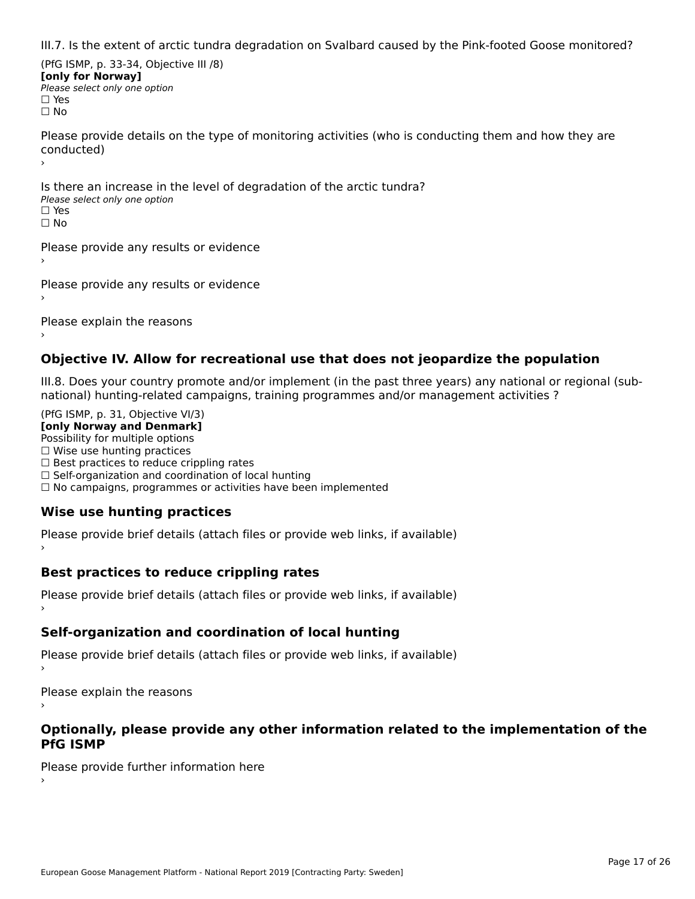III.7. Is the extent of arctic tundra degradation on Svalbard caused by the Pink-footed Goose monitored?

(PfG ISMP, p. 33-34, Objective III /8) **[only for Norway] Please select only one option** □ Yes<br>□ No

Please provide details on the type of monitoring activities (who is conducting them and how they are riease prov ›

Is there an increase in the level of degradation of the arctic tundra? □ CitCre dir increduce in c<br>Please select only one option □ Yes<br>□ No

Please provide any results or evidence

Please provide any results or evidence

Please explain the reasons

›

#### **Objective IV. Allow for recreational use that does not jeopardize the population**

III.8. Does your country promote and/or implement (in the past three years) any national or regional (sub $m.6.198$  your country promove and/or miplement (in the past time years) any national or

(PfG ISMP, p. 31, Objective VI/3) **[only Norway and Denmark]** Possibility for multiple options ☐ Wise use hunting practices  $\Box$  wise use numing practices<br> $\Box$  Best practices to reduce crippling rates □ Best practices to reduce crippinig rates<br>□ Self-organization and coordination of local hunting □ Sen-organization and coordination or local nunting<br>□ No campaigns, programmes or activities have been implemented

### **Wise use hunting practices**

Please provide brief details (attach files or provide web links, if available) ›

#### **Best practices to reduce crippling rates**

Please provide brief details (attach files or provide web links, if available)

### **Self-organization and coordination of local hunting**

Please provide brief details (attach files or provide web links, if available)

Please explain the reasons

#### **Optionally, please provide any other information related to the implementation of the PfG ISMP**

Please provide further information here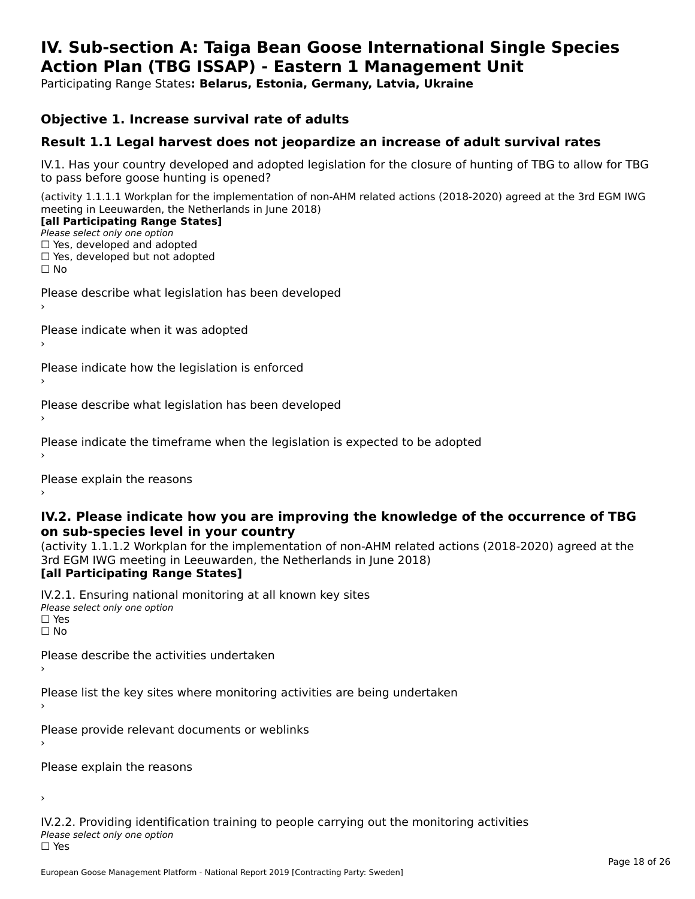#### **IV. Sub-section A: Taiga Bean Goose International Single Species Action Plan (TBG ISSAP) - Eastern 1 Management UnitAction Plan (TBG ISSAP) - Eastern 1 Management Unit**

Participating Range States**: Belarus, Estonia, Germany, Latvia, Ukraine** 

#### **Objective 1. Increase survival rate of adults**

#### **Result 1.1 Legal harvest does not jeopardize an increase of adult survival rates**

IV.1. Has your country developed and adopted legislation for the closure of hunting of TBG to allow for TBG IV.1. Thas your country developed and add<br>to pass before goose hunting is opened?

(activity 1.1.1.1 Workplan for the implementation of non-AHM related actions (2018-2020) agreed at the 3rd EGM IWG meeting in Leeuwarden, the Netherlands in June 2018) **[all Participating Range States]**

#### [all Participating Range States]

Please select only one option ☐ Yes, developed and adopted

☐ Yes, developed but not adopted

 $\Box$  ies, developed but not adopted

Please describe what legislation has been developed

Please indicate when it was adopted

Please indicate how the legislation is enforced

Please describe what legislation has been developed

Please indicate the timeframe when the legislation is expected to be adopted

Please explain the reasons

#### **IV.2. Please indicate how you are improving the knowledge of the occurrence of TBG on sub-species level in your country**on sub-species level in your country

on sub-species fever in your country<br>(activity 1.1.1.2 Workplan for the implementation of non-AHM related actions (2018-2020) agreed at the **Brd EGM IWG meeting in Leeuwarden, the Netherlands in June 2018)** 

#### [all Participating Range States]

IV.2.1. Ensuring national monitoring at all known key sites <del>■ Western Chroning</del> Hational<br>Please select only one option  $\square$  Yes ☐ No

Please describe the activities undertaken

Please list the key sites where monitoring activities are being undertaken

Please provide relevant documents or weblinks

Please explain the reasons

›

IV.2.2. Providing identification training to people carrying out the monitoring activities <del>■ Western Fortung</del> Recrement<br>Please select only one option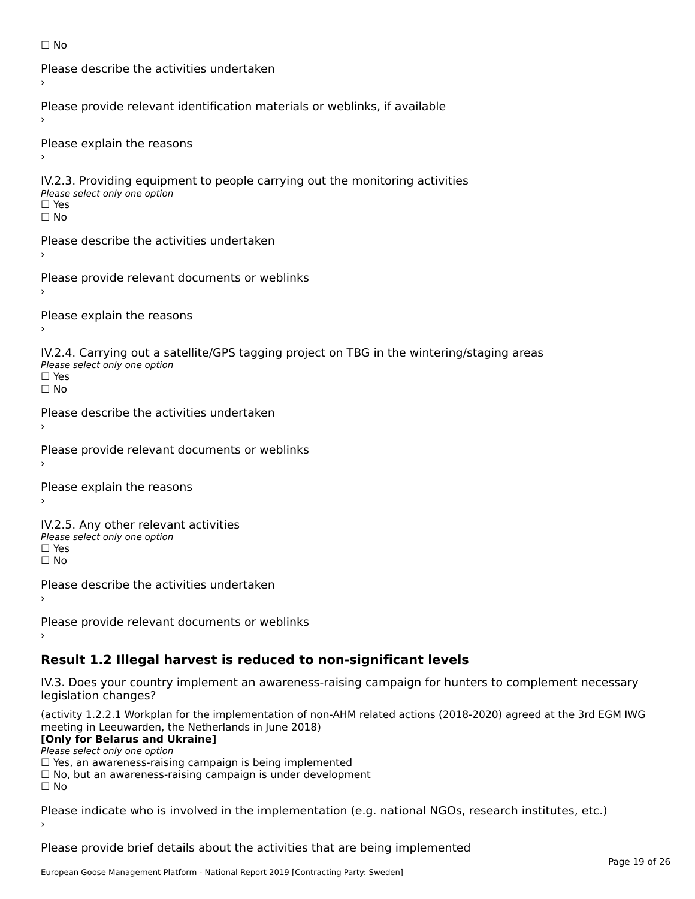```
☐ No
```

```
Please describe the activities undertaken›Please provide relevant identification materials or weblinks, if available
Please explain the reasons
IV.2.3. Providing equipment to people carrying out the monitoring activities
Please select only one option
☐ Yes□ Yes<br>□ No
Please describe the activities undertaken›Please provide relevant documents or weblinks
Please explain the reasons
IV.2.4. Carrying out a satellite/GPS tagging project on TBG in the wintering/staging areas
TV:∠:→: Carrying out a Se<br>Please select only one option
□ Yes<br>□ No
Please describe the activities undertaken›Please provide relevant documents or weblinks
Please explain the reasons
IV.2.5. Any other relevant activities
Please select only one option
☐ Yes□ Yes<br>□ No
Please describe the activities undertaken›Please provide relevant documents or weblinks
Result 1.2 Illegal harvest is reduced to non-significant levels
```
IV.3. Does your country implement an awareness-raising campaign for hunters to complement necessary rv.5. Does your court<br>legislation changes?

(activity 1.2.2.1 Workplan for the implementation of non-AHM related actions (2018-2020) agreed at the 3rd EGM IWG meeting in Leeuwarden, the Netherlands in June 2018)

#### **[Only for Belarus and Ukraine]**

Please select only one option

riease select only one option<br>□ Yes, an awareness-raising campaign is being implemented<br>□ Yes, an awareness-raising campaign is under development

□ No, but an awareness-raising campaign is under development<br>□ N。

Please indicate who is involved in the implementation (e.g. national NGOs, research institutes, etc.)

Please provide brief details about the activities that are being implemented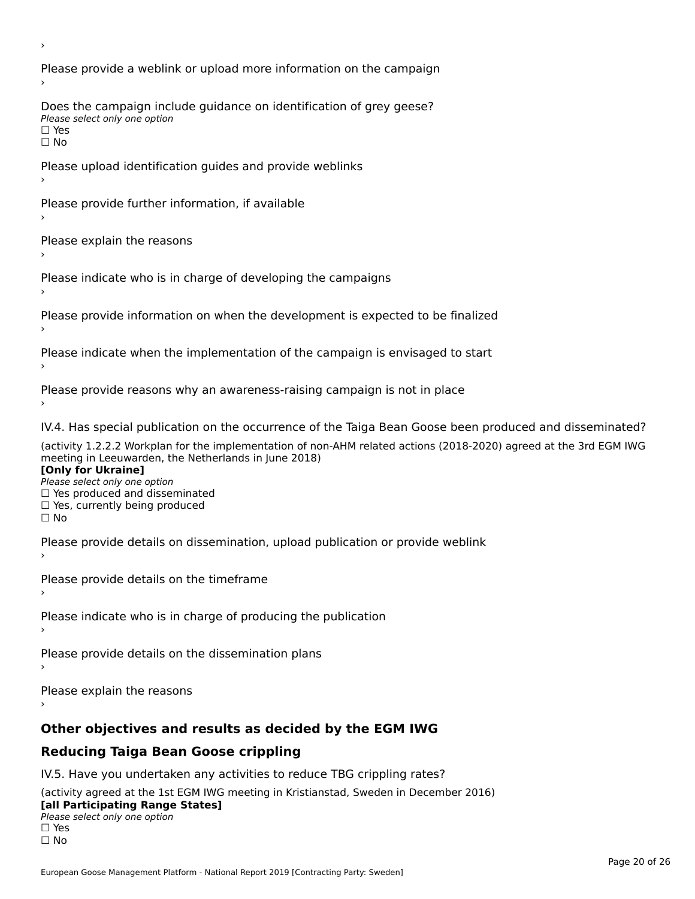Please provide a weblink or upload more information on the campaign Does the campaign include guidance on identification of grey geese? Please select only one option<br>□ Yes □ Yes<br>□ No Please upload identification guides and provide weblinks Please provide further information, if available Please explain the reasons Please indicate who is in charge of developing the campaigns Please provide information on when the development is expected to be finalized Please indicate when the implementation of the campaign is envisaged to start Please provide reasons why an awareness-raising campaign is not in place IV.4. Has special publication on the occurrence of the Taiga Bean Goose been produced and disseminated? (activity 1.2.2.2 Workplan for the implementation of non-AHM related actions (2018-2020) agreed at the 3rd EGM IWG **[Only for Ukraine] □ Yes produced and disseminated**<br>Please select only one option  $\Box$  ies produced and disseminated  $\Box$  ies, currently being produced Please provide details on dissemination, upload publication or provide weblink Please provide details on the timeframe Please indicate who is in charge of producing the publication Please provide details on the dissemination plans Please explain the reasons **Other objectives and results as decided by the EGM IWG Reducing Taiga Bean Goose crippling** IV.5. Have you undertaken any activities to reduce TBG crippling rates? (activity agreed at the 1st EGM IWG meeting in Kristianstad, Sweden in December 2016)

#### **[all Participating Range States]**[all Participating Range States]

**Law Tarticipating Range**<br>Please select only one option

□ Yes<br>□ No

›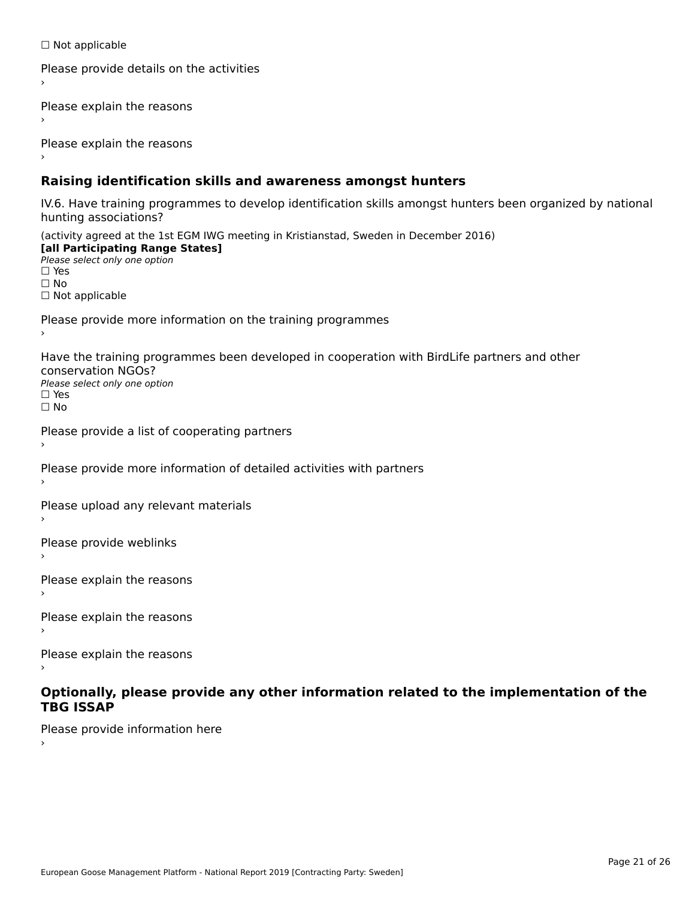☐ Not applicable

```
Please provide details on the activities
```
Please explain the reasons

Please explain the reasons

#### **Raising identification skills and awareness amongst hunters**

IV.6. Have training programmes to develop identification skills amongst hunters been organized by national rv.o. riave training pro<br>hunting associations?

(activity agreed at the 1st EGM IWG meeting in Kristianstad, Sweden in December 2016) **[all Participating Range States]**[all Participating Range States] **Lan Tarticipating Range**<br>Please select only one option ☐ Yes☐ No□ Not applicable

Please provide more information on the training programmes

Have the training programmes been developed in cooperation with BirdLife partners and other conservation NGOs?Please select only one option☐ Yes☐ No

```
Please provide a list of cooperating partners
```
Please provide more information of detailed activities with partners

Please upload any relevant materials

Please provide weblinks

Please explain the reasons

Please explain the reasons›

Please explain the reasons

#### **Optionally, please provide any other information related to the implementation of the TBG ISSAPTBG ISSAP**

Please provide information here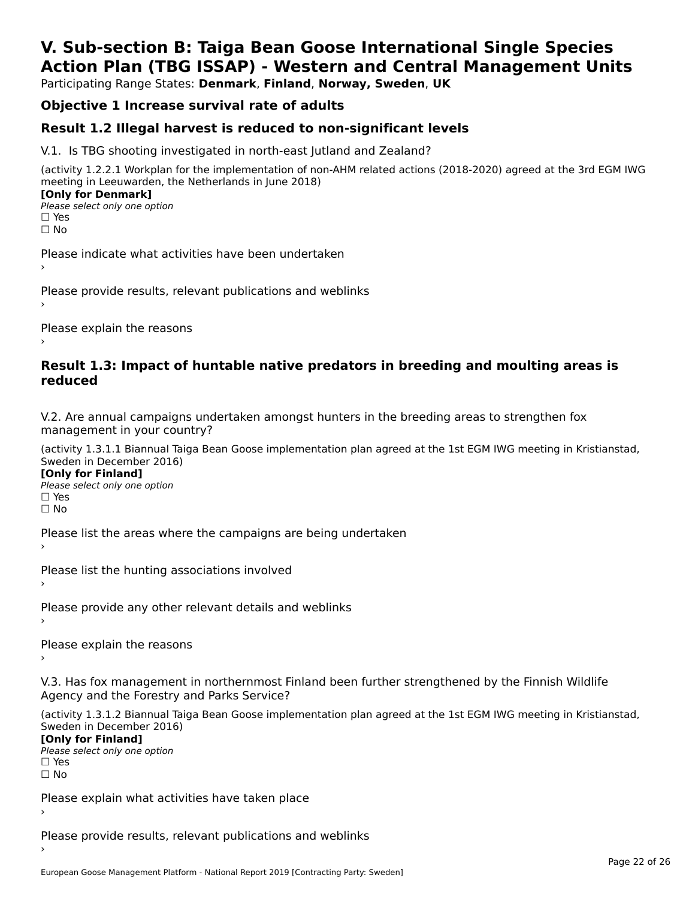### **V. Sub-section B: Taiga Bean Goose International Single SpeciesAction Plan (TBG ISSAP) - Western and Central Management Units**

Participating Range States: **Denmark**, **Finland**, **Norway, Sweden**, **UK**

### **Objective 1 Increase survival rate of adults**

#### **Result 1.2 Illegal harvest is reduced to non-significant levels**

V.1. Is TBG shooting investigated in north-east Jutland and Zealand?

(activity 1.2.2.1 Workplan for the implementation of non-AHM related actions (2018-2020) agreed at the 3rd EGM IWG meeting in Leeuwarden, the Netherlands in June 2018) **[Only for Denmark] LOTTLY TOT DETITIONS**<br>Please select only one option

*riease*<br>□ Yes<br>□ No

Please indicate what activities have been undertaken›

Please provide results, relevant publications and weblinks ›

Please explain the reasons

#### **Result 1.3: Impact of huntable native predators in breeding and moulting areas is reduced**

V.2. Are annual campaigns undertaken amongst hunters in the breeding areas to strengthen fox v.z. Are annual campaigns und<br>management in your country?

(activity 1.3.1.1 Biannual Taiga Bean Goose implementation plan agreed at the 1st EGM IWG meeting in Kristianstad, Sweden in December 2016)

**[Only for Finland]** Please select only one optionriease<br>□ Yes □ Yes<br>□ No

Please list the areas where the campaigns are being undertaken

Please list the hunting associations involved

Please provide any other relevant details and weblinks ›

Please explain the reasons›

V.3. Has fox management in northernmost Finland been further strengthened by the Finnish Wildlife v.5. Has fox management in northernmost F<br>Agency and the Forestry and Parks Service?

(activity 1.3.1.2 Biannual Taiga Bean Goose implementation plan agreed at the 1st EGM IWG meeting in Kristianstad, Sweden in December 2016) Sweden in December 2016)

[Only for Finland]

**Please select only one option** □ Yes<br>□ No

Please explain what activities have taken place

Please provide results, relevant publications and weblinks ›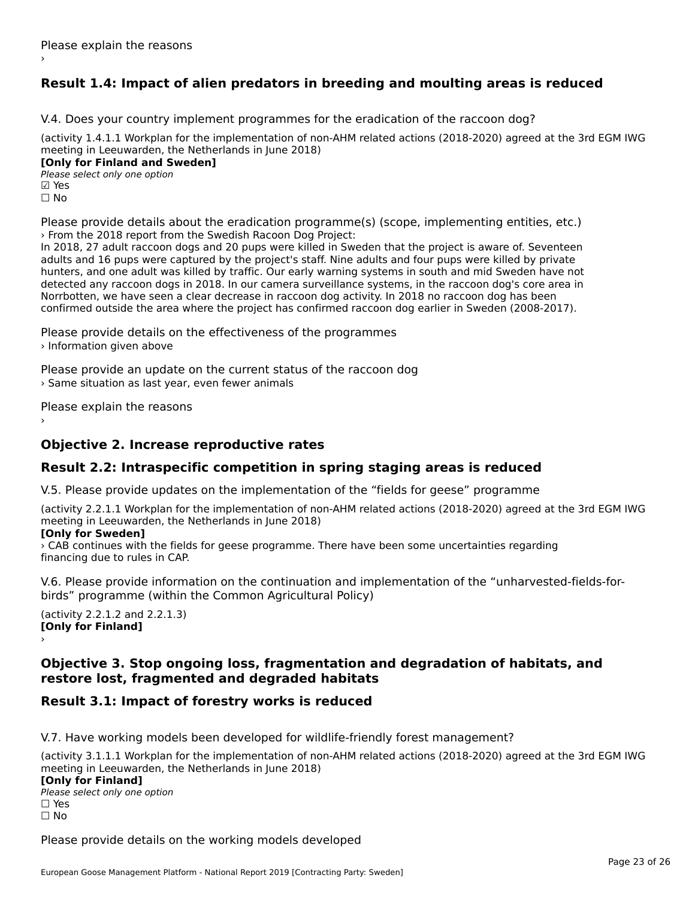### **Result 1.4: Impact of alien predators in breeding and moulting areas is reduced**

V.4. Does your country implement programmes for the eradication of the raccoon dog?

(activity 1.4.1.1 Workplan for the implementation of non-AHM related actions (2018-2020) agreed at the 3rd EGM IWG meeting in Leeuwarden, the Netherlands in June 2018) **[Only for Finland and Sweden]**

**Please select only one option** ☐ No

Please provide details about the eradication programme(s) (scope, implementing entities, etc.) › From the 2018 report from the Swedish Racoon Dog Project:

In 2018, 27 adult raccoon dogs and 20 pups were killed in Sweden that the project is aware of. Seventeen adults and 16 pups were captured by the project's staff. Nine adults and four pups were killed by private<br>adults and 16 pups were captured by the project's staff. Nine adults and four pups were killed by private hunters, and one adult was killed by traffic. Our early warning systems in south and mid Sweden have not numers, and one addit was killed by trainct our early warning systems in south and rind sweden have not<br>detected any raccoon dogs in 2018. In our camera surveillance systems, in the raccoon dog's core area in Norrbotten, we have seen a clear decrease in raccoon dog activity. In 2018 no raccoon dog has been confirmed outside the area where the project has confirmed raccoon dog earlier in Sweden (2008-2017).

Please provide details on the effectiveness of the programmes › Information given above

Please provide an update on the current status of the raccoon dog › Same situation as last year, even fewer animals

Please explain the reasons

### **Objective 2. Increase reproductive rates**

### **Result 2.2: Intraspecific competition in spring staging areas is reduced**

V.5. Please provide updates on the implementation of the "fields for geese" programme

(activity 2.2.1.1 Workplan for the implementation of non-AHM related actions (2018-2020) agreed at the 3rd EGM IWG meeting in Leeuwarden, the Netherlands in June 2018)

#### **[Only for Sweden]**

› CAB continues with the fields for geese programme. There have been some uncertainties regarding financing due to rules in CAP.

V.6. Please provide information on the continuation and implementation of the "unharvested-fields-forbirds" programme (within the Common Agricultural Policy)

(activity 2.2.1.2 and 2.2.1.3) **[Only for Finland]** ›

#### **Objective 3. Stop ongoing loss, fragmentation and degradation of habitats, and restore lost, fragmented and degraded habitats**restore lost, fragmented and degraded habitats

### **Result 3.1: Impact of forestry works is reduced**

V.7. Have working models been developed for wildlife-friendly forest management?

(activity 3.1.1.1 Workplan for the implementation of non-AHM related actions (2018-2020) agreed at the 3rd EGM IWG meeting in Leeuwarden, the Netherlands in June 2018) **[Only for Finland] Please select only one option** ☐ Yes☐ No

Please provide details on the working models developed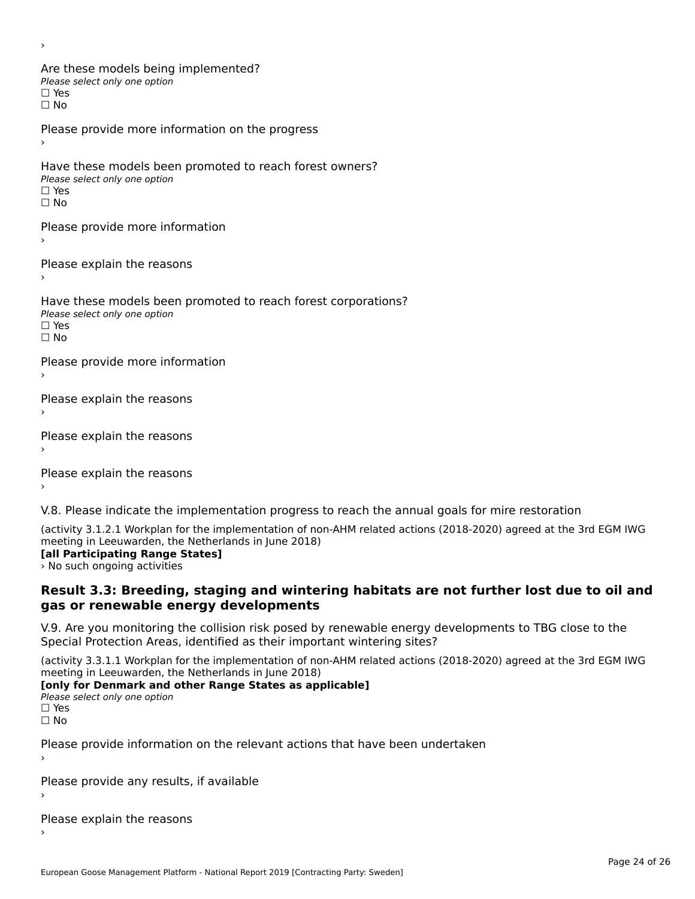Are these models being implemented? The these models being<br>Please select only one option □ Yes<br>□ No Please provide more information on the progress Have these models been promoted to reach forest owners?Please select only one option☐ Yes☐ NoPlease provide more information Please explain the reasons ›Have these models been promoted to reach forest corporations? ∩ave these models bee<br>Please select only one option ☐ NoPlease provide more information Please explain the reasons ›Please explain the reasons ›Please explain the reasons

V.8. Please indicate the implementation progress to reach the annual goals for mire restoration

(activity 3.1.2.1 Workplan for the implementation of non-AHM related actions (2018-2020) agreed at the 3rd EGM IWG

### **FREEDING IN LEEUWATUEH, THE NETHER**<br>[all Participating Range States]

> No such ongoing activities

›

#### **Result 3.3: Breeding, staging and wintering habitats are not further lost due to oil andgas or renewable energy developments**gas or renewable energy developments

V.9. Are you monitoring the collision risk posed by renewable energy developments to TBG close to the Special Protection Areas, identified as their important wintering sites?

(activity 3.3.1.1 Workplan for the implementation of non-AHM related actions (2018-2020) agreed at the 3rd EGM IWG

### meeting in Leeuwarden, the Netherlands in Julie 2016)<br>**[only for Denmark and other Range States as applicable]**

Please select only one option ☐ Yes☐ No

Please provide information on the relevant actions that have been undertaken ›

Please provide any results, if available

Please explain the reasons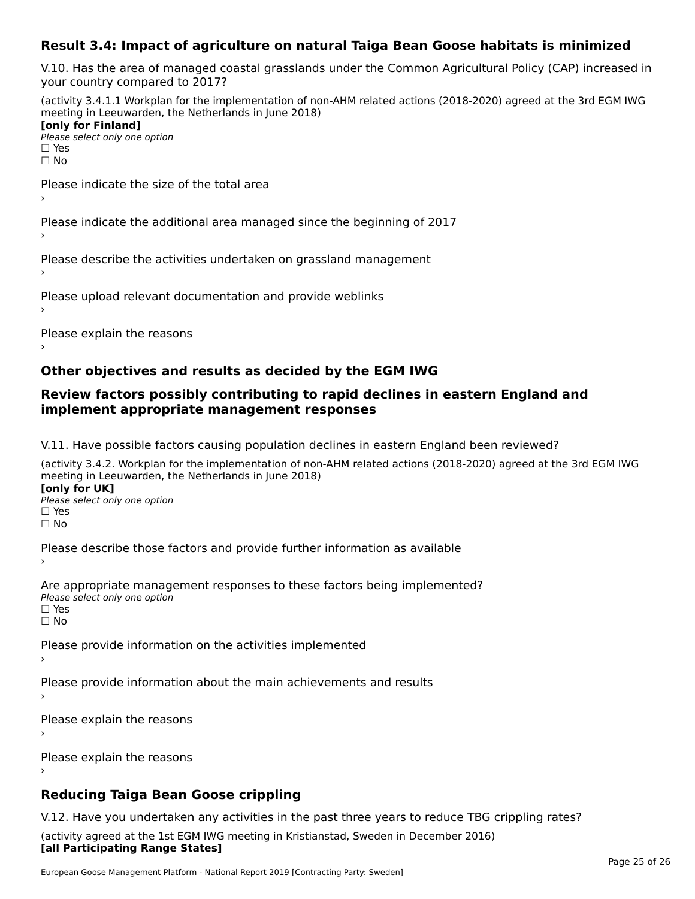#### **Result 3.4: Impact of agriculture on natural Taiga Bean Goose habitats is minimized**

V.10. Has the area of managed coastal grasslands under the Common Agricultural Policy (CAP) increased in your country compared to 2017?

(activity 3.4.1.1 Workplan for the implementation of non-AHM related actions (2018-2020) agreed at the 3rd EGM IWG meeting in Leeuwarden, the Netherlands in June 2018) **[only for Finland]**[only for Finland]

**□ Please select only one option** □ Yes<br>□ No

Please indicate the size of the total area›

Please indicate the additional area managed since the beginning of 2017›

Please describe the activities undertaken on grassland management

Please upload relevant documentation and provide weblinks

Please explain the reasons

#### **Other objectives and results as decided by the EGM IWG**

#### **Review factors possibly contributing to rapid declines in eastern England and implement appropriate management responses**implement appropriate management responses

V.11. Have possible factors causing population declines in eastern England been reviewed?

(activity 3.4.2. Workplan for the implementation of non-AHM related actions (2018-2020) agreed at the 3rd EGM IWG meeting in Leeuwarden, the Netherlands in June 2018) **[only for UK]**

**Please select only one option<br>Please select only one option** □ Yes<br>□ No

Please describe those factors and provide further information as available

Are appropriate management responses to these factors being implemented? ne appropriace manage.<br>Please select only one option □ Yes<br>□ No

Please provide information on the activities implemented

Please provide information about the main achievements and results

Please explain the reasons›

Please explain the reasons

### **Reducing Taiga Bean Goose crippling**

V.12. Have you undertaken any activities in the past three years to reduce TBG crippling rates? (activity agreed at the 1st EGM IWG meeting in Kristianstad, Sweden in December 2016) **[all Participating Range States]**